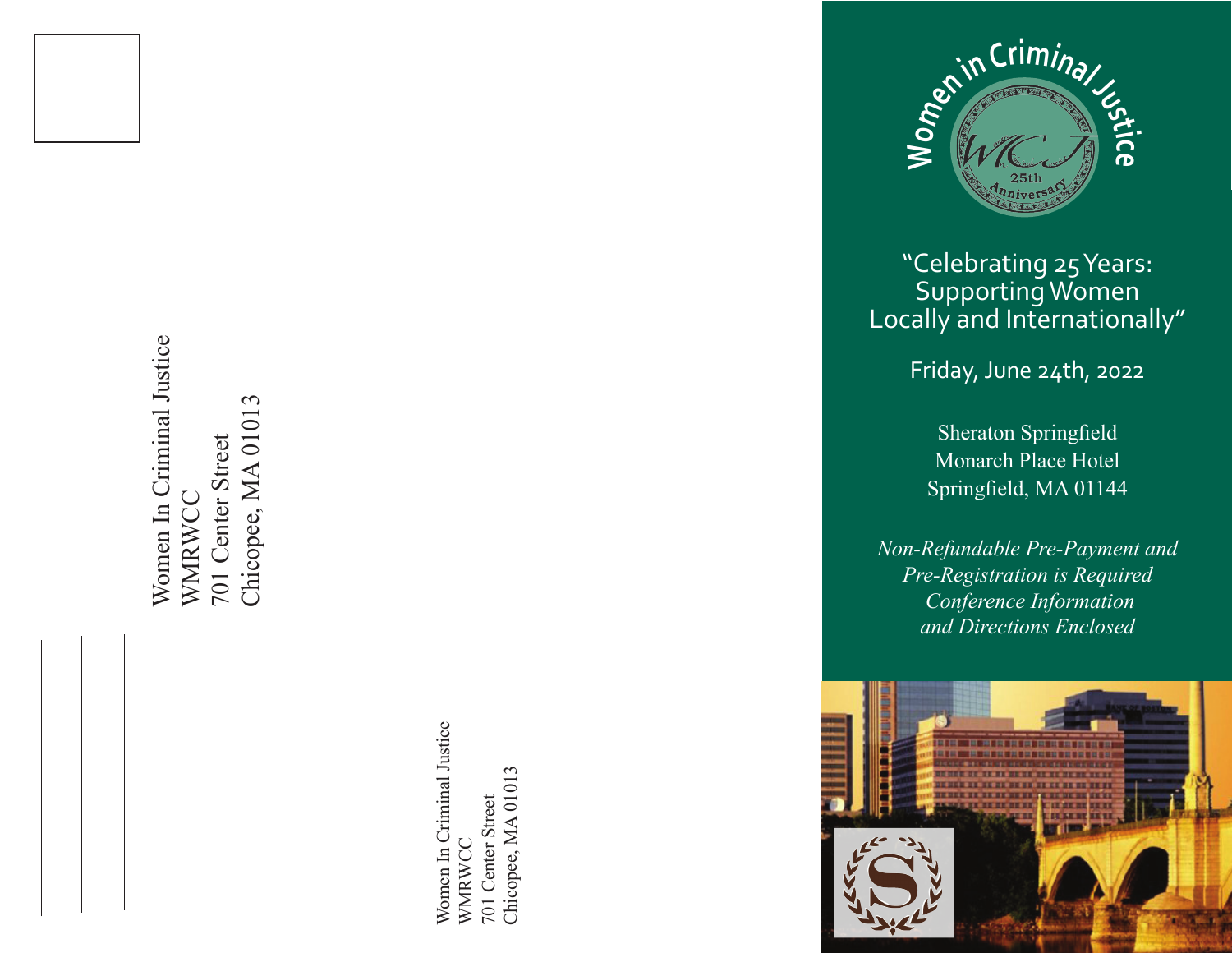

Women In Criminal Justice Women In Criminal Justice Chicopee, MA 01013 Chicopee, MA 01013 701 Center Street 701 Center Street WMRWCC WMRWCC

> Women In Criminal Justice Women In Criminal Justice Chicopee, MA 01013 Chicopee, MA 01013 701 Center Street 701 Center Street WMRWCC WMRWCC



# "Celebrating 25 Years: Supporting Women Locally and Internationally"

Friday, June 24th, 2022

Sheraton Springfield Monarch Place Hotel Springfield, MA 01144

*Non-Refundable Pre-Payment and Pre-Registration is Required Conference Information and Directions Enclosed*